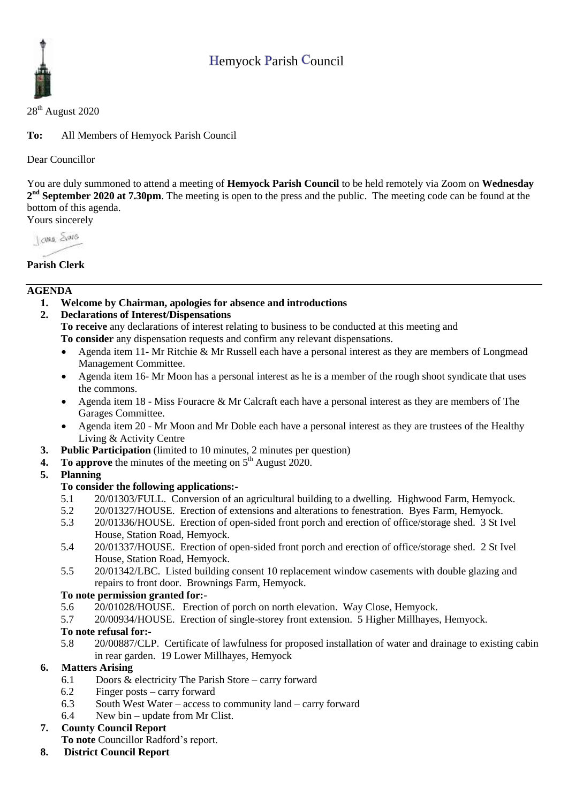# Hemyock Parish Council



28<sup>th</sup> August 2020

**To:** All Members of Hemyock Parish Council

Dear Councillor

You are duly summoned to attend a meeting of **Hemyock Parish Council** to be held remotely via Zoom on **Wednesday 2 nd September 2020 at 7.30pm**. The meeting is open to the press and the public. The meeting code can be found at the bottom of this agenda.

Yours sincerely

**Jong** Sans

# **Parish Clerk**

## **AGENDA**

- **1. Welcome by Chairman, apologies for absence and introductions**
- **2. Declarations of Interest/Dispensations**

**To receive** any declarations of interest relating to business to be conducted at this meeting and **To consider** any dispensation requests and confirm any relevant dispensations.

- Agenda item 11- Mr Ritchie & Mr Russell each have a personal interest as they are members of Longmead Management Committee.
- Agenda item 16- Mr Moon has a personal interest as he is a member of the rough shoot syndicate that uses the commons.
- Agenda item 18 Miss Fouracre & Mr Calcraft each have a personal interest as they are members of The Garages Committee.
- Agenda item 20 Mr Moon and Mr Doble each have a personal interest as they are trustees of the Healthy Living & Activity Centre
- **3. Public Participation** (limited to 10 minutes, 2 minutes per question)
- **4. To approve** the minutes of the meeting on  $5<sup>th</sup>$  August 2020.

# **5. Planning**

## **To consider the following applications:-**

- 5.1 20/01303/FULL. Conversion of an agricultural building to a dwelling. Highwood Farm, Hemyock.
- 5.2 20/01327/HOUSE. Erection of extensions and alterations to fenestration. Byes Farm, Hemyock.
- 5.3 20/01336/HOUSE. Erection of open-sided front porch and erection of office/storage shed. 3 St Ivel House, Station Road, Hemyock.
- 5.4 20/01337/HOUSE. Erection of open-sided front porch and erection of office/storage shed. 2 St Ivel House, Station Road, Hemyock.
- 5.5 20/01342/LBC. Listed building consent 10 replacement window casements with double glazing and repairs to front door. Brownings Farm, Hemyock.

### **To note permission granted for:-**

- 5.6 20/01028/HOUSE. Erection of porch on north elevation. Way Close, Hemyock.
- 5.7 20/00934/HOUSE. Erection of single-storey front extension. 5 Higher Millhayes, Hemyock.

# **To note refusal for:-**

5.8 20/00887/CLP. Certificate of lawfulness for proposed installation of water and drainage to existing cabin in rear garden. 19 Lower Millhayes, Hemyock

# **6. Matters Arising**

- 6.1 Doors & electricity The Parish Store carry forward
- 6.2 Finger posts carry forward
- 6.3 South West Water access to community land carry forward
- 6.4 New bin update from Mr Clist.

### **7. County Council Report**

**To note** Councillor Radford's report.

**8. District Council Report**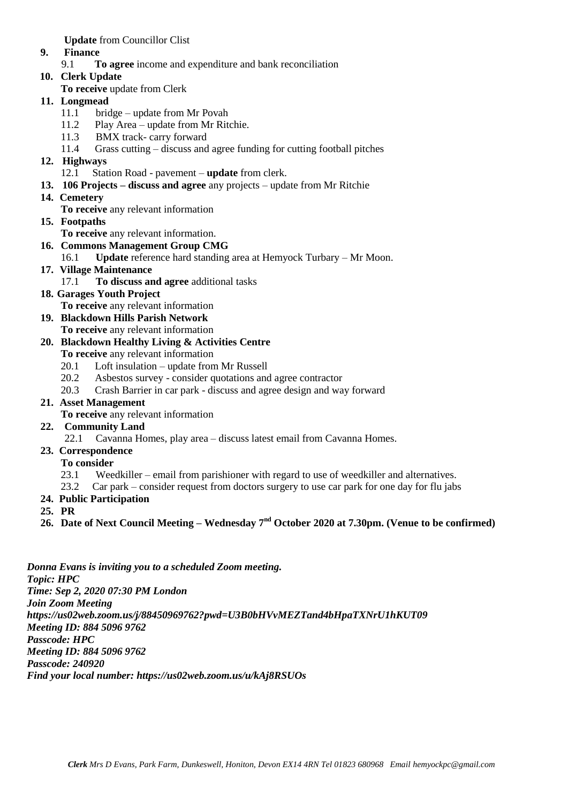**Update** from Councillor Clist

- **9. Finance** 
	- 9.1 **To agree** income and expenditure and bank reconciliation
- **10. Clerk Update** 
	- **To receive** update from Clerk
- **11. Longmead**
	- 11.1 bridge update from Mr Povah
	- 11.2 Play Area update from Mr Ritchie.
	- 11.3 BMX track- carry forward
	- 11.4 Grass cutting discuss and agree funding for cutting football pitches
- **12. Highways** 
	- 12.1 Station Road pavement **update** from clerk.
- **13. 106 Projects – discuss and agree** any projects update from Mr Ritchie
- **14. Cemetery**

**To receive** any relevant information

- **15. Footpaths**
	- **To receive** any relevant information.
- **16. Commons Management Group CMG**
	- 16.1 **Update** reference hard standing area at Hemyock Turbary Mr Moon.
- **17. Village Maintenance**
	- 17.1 **To discuss and agree** additional tasks
- **18. Garages Youth Project** 
	- **To receive** any relevant information
- **19. Blackdown Hills Parish Network To receive** any relevant information
- **20. Blackdown Healthy Living & Activities Centre**
	- **To receive** any relevant information
	- 20.1 Loft insulation update from Mr Russell
	- 20.2 Asbestos survey consider quotations and agree contractor
	- 20.3 Crash Barrier in car park discuss and agree design and way forward
- **21. Asset Management** 
	- **To receive** any relevant information
- **22. Community Land**
	- 22.1 Cavanna Homes, play area discuss latest email from Cavanna Homes.
- **23. Correspondence**
	- **To consider**
	- 23.1 Weedkiller email from parishioner with regard to use of weedkiller and alternatives.
	- 23.2 Car park consider request from doctors surgery to use car park for one day for flu jabs
- **24. Public Participation**
- **25. PR**
- **26. Date of Next Council Meeting – Wednesday 7 nd October 2020 at 7.30pm. (Venue to be confirmed)**

*Donna Evans is inviting you to a scheduled Zoom meeting. Topic: HPC Time: Sep 2, 2020 07:30 PM London Join Zoom Meeting https://us02web.zoom.us/j/88450969762?pwd=U3B0bHVvMEZTand4bHpaTXNrU1hKUT09 Meeting ID: 884 5096 9762 Passcode: HPC Meeting ID: 884 5096 9762 Passcode: 240920 Find your local number: https://us02web.zoom.us/u/kAj8RSUOs*